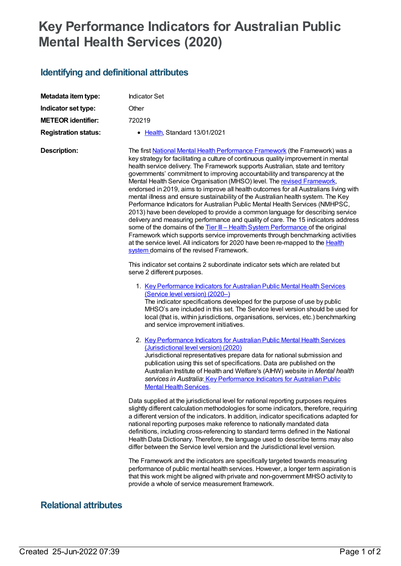## **Key Performance Indicators for Australian Public Mental Health Services (2020)**

## **Identifying and definitional attributes**

| Metadata item type:         | <b>Indicator Set</b>                                                                                                                                                                                                                                                                                                                                                                                                                                                                                                                                                                                                                                                                                                                                                                                                                                                                                                                                                                                                                                                                                                                                           |
|-----------------------------|----------------------------------------------------------------------------------------------------------------------------------------------------------------------------------------------------------------------------------------------------------------------------------------------------------------------------------------------------------------------------------------------------------------------------------------------------------------------------------------------------------------------------------------------------------------------------------------------------------------------------------------------------------------------------------------------------------------------------------------------------------------------------------------------------------------------------------------------------------------------------------------------------------------------------------------------------------------------------------------------------------------------------------------------------------------------------------------------------------------------------------------------------------------|
| Indicator set type:         | Other                                                                                                                                                                                                                                                                                                                                                                                                                                                                                                                                                                                                                                                                                                                                                                                                                                                                                                                                                                                                                                                                                                                                                          |
| <b>METEOR identifier:</b>   | 720219                                                                                                                                                                                                                                                                                                                                                                                                                                                                                                                                                                                                                                                                                                                                                                                                                                                                                                                                                                                                                                                                                                                                                         |
| <b>Registration status:</b> | • Health, Standard 13/01/2021                                                                                                                                                                                                                                                                                                                                                                                                                                                                                                                                                                                                                                                                                                                                                                                                                                                                                                                                                                                                                                                                                                                                  |
| <b>Description:</b>         | The first National Mental Health Performance Framework (the Framework) was a<br>key strategy for facilitating a culture of continuous quality improvement in mental<br>health service delivery. The Framework supports Australian, state and territory<br>governments' commitment to improving accountability and transparency at the<br>Mental Health Service Organisation (MHSO) level. The revised Framework,<br>endorsed in 2019, aims to improve all health outcomes for all Australians living with<br>mental illness and ensure sustainability of the Australian health system. The Key<br>Performance Indicators for Australian Public Mental Health Services (NMHPSC,<br>2013) have been developed to provide a common language for describing service<br>delivery and measuring performance and quality of care. The 15 indicators address<br>some of the domains of the Tier III - Health System Performance of the original<br>Framework which supports service improvements through benchmarking activities<br>at the service level. All indicators for 2020 have been re-mapped to the <b>Health</b><br>system domains of the revised Framework. |
|                             | This indicator set contains 2 subordinate indicator sets which are related but<br>serve 2 different purposes.                                                                                                                                                                                                                                                                                                                                                                                                                                                                                                                                                                                                                                                                                                                                                                                                                                                                                                                                                                                                                                                  |
|                             | 1. Key Performance Indicators for Australian Public Mental Health Services<br>(Service level version) (2020-)<br>The indicator specifications developed for the purpose of use by public<br>MHSO's are included in this set. The Service level version should be used for<br>local (that is, within jurisdictions, organisations, services, etc.) benchmarking<br>and service improvement initiatives.                                                                                                                                                                                                                                                                                                                                                                                                                                                                                                                                                                                                                                                                                                                                                         |
|                             | 2. Key Performance Indicators for Australian Public Mental Health Services<br>(Jurisdictional level version) (2020)<br>Jurisdictional representatives prepare data for national submission and<br>publication using this set of specifications. Data are published on the<br>Australian Institute of Health and Welfare's (AIHW) website in Mental health<br>services in Australia: Key Performance Indicators for Australian Public<br><b>Mental Health Services.</b>                                                                                                                                                                                                                                                                                                                                                                                                                                                                                                                                                                                                                                                                                         |
|                             | Data supplied at the jurisdictional level for national reporting purposes requires<br>slightly different calculation methodologies for some indicators, therefore, requiring<br>a different version of the indicators. In addition, indicator specifications adapted for<br>national reporting purposes make reference to nationally mandated data<br>definitions, including cross-referencing to standard terms defined in the National<br>Health Data Dictionary. Therefore, the language used to describe terms may also<br>differ between the Service level version and the Jurisdictional level version.                                                                                                                                                                                                                                                                                                                                                                                                                                                                                                                                                  |
|                             | The Framework and the indicators are specifically targeted towards measuring<br>performance of public mental health services. However, a longer term aspiration is<br>that this work might be aligned with private and non-government MHSO activity to<br>provide a whole of service measurement framework.                                                                                                                                                                                                                                                                                                                                                                                                                                                                                                                                                                                                                                                                                                                                                                                                                                                    |

## **Relational attributes**